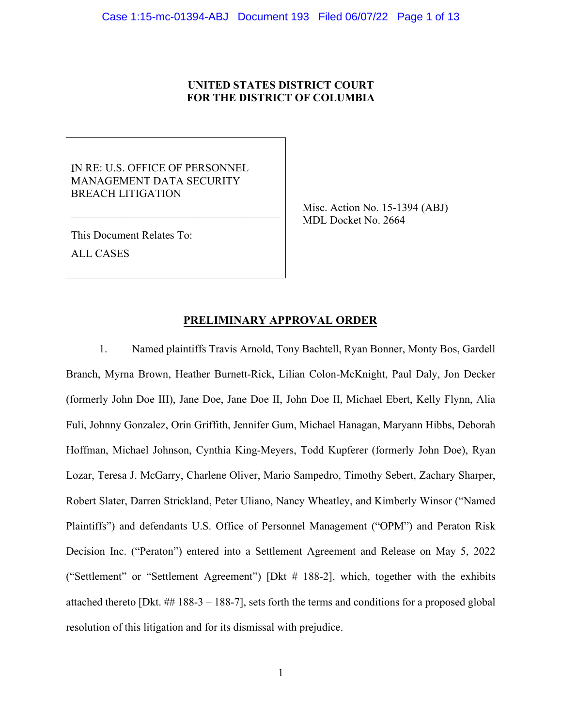# **UNITED STATES DISTRICT COURT FOR THE DISTRICT OF COLUMBIA**

IN RE: U.S. OFFICE OF PERSONNEL MANAGEMENT DATA SECURITY BREACH LITIGATION

\_\_\_\_\_\_\_\_\_\_\_\_\_\_\_\_\_\_\_\_\_\_\_\_\_\_\_\_\_\_\_\_\_\_\_\_\_\_

This Document Relates To: ALL CASES

Misc. Action No. 15-1394 (ABJ) MDL Docket No. 2664

# **PRELIMINARY APPROVAL ORDER**

1. Named plaintiffs Travis Arnold, Tony Bachtell, Ryan Bonner, Monty Bos, Gardell Branch, Myrna Brown, Heather Burnett-Rick, Lilian Colon-McKnight, Paul Daly, Jon Decker (formerly John Doe III), Jane Doe, Jane Doe II, John Doe II, Michael Ebert, Kelly Flynn, Alia Fuli, Johnny Gonzalez, Orin Griffith, Jennifer Gum, Michael Hanagan, Maryann Hibbs, Deborah Hoffman, Michael Johnson, Cynthia King-Meyers, Todd Kupferer (formerly John Doe), Ryan Lozar, Teresa J. McGarry, Charlene Oliver, Mario Sampedro, Timothy Sebert, Zachary Sharper, Robert Slater, Darren Strickland, Peter Uliano, Nancy Wheatley, and Kimberly Winsor ("Named Plaintiffs") and defendants U.S. Office of Personnel Management ("OPM") and Peraton Risk Decision Inc. ("Peraton") entered into a Settlement Agreement and Release on May 5, 2022 ("Settlement" or "Settlement Agreement") [Dkt # 188-2], which, together with the exhibits attached thereto [Dkt. ## 188-3 – 188-7], sets forth the terms and conditions for a proposed global resolution of this litigation and for its dismissal with prejudice.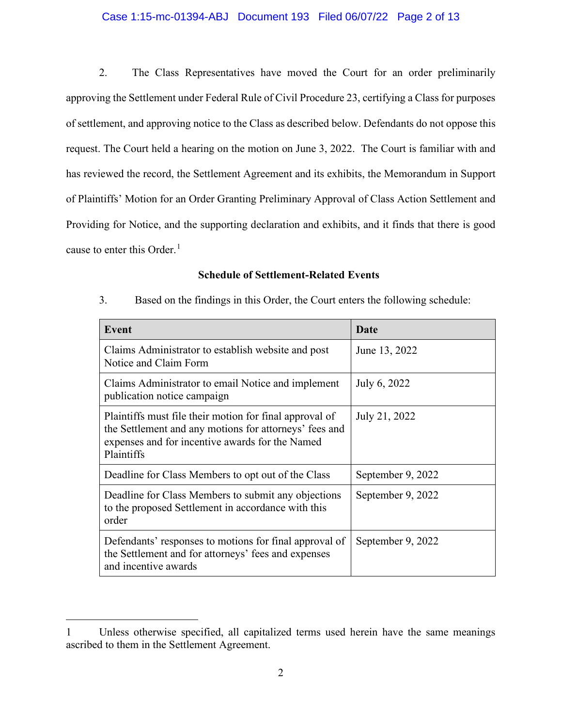## Case 1:15-mc-01394-ABJ Document 193 Filed 06/07/22 Page 2 of 13

2. The Class Representatives have moved the Court for an order preliminarily approving the Settlement under Federal Rule of Civil Procedure 23, certifying a Class for purposes of settlement, and approving notice to the Class as described below. Defendants do not oppose this request. The Court held a hearing on the motion on June 3, 2022. The Court is familiar with and has reviewed the record, the Settlement Agreement and its exhibits, the Memorandum in Support of Plaintiffs' Motion for an Order Granting Preliminary Approval of Class Action Settlement and Providing for Notice, and the supporting declaration and exhibits, and it finds that there is good cause to enter this Order. [1](#page-1-0)

## **Schedule of Settlement-Related Events**

| Event                                                                                                                                                                              | Date              |
|------------------------------------------------------------------------------------------------------------------------------------------------------------------------------------|-------------------|
| Claims Administrator to establish website and post<br>Notice and Claim Form                                                                                                        | June 13, 2022     |
| Claims Administrator to email Notice and implement<br>publication notice campaign                                                                                                  | July 6, 2022      |
| Plaintiffs must file their motion for final approval of<br>the Settlement and any motions for attorneys' fees and<br>expenses and for incentive awards for the Named<br>Plaintiffs | July 21, 2022     |
| Deadline for Class Members to opt out of the Class                                                                                                                                 | September 9, 2022 |
| Deadline for Class Members to submit any objections<br>to the proposed Settlement in accordance with this<br>order                                                                 | September 9, 2022 |
| Defendants' responses to motions for final approval of<br>the Settlement and for attorneys' fees and expenses<br>and incentive awards                                              | September 9, 2022 |

# 3. Based on the findings in this Order, the Court enters the following schedule:

<span id="page-1-0"></span><sup>1</sup> Unless otherwise specified, all capitalized terms used herein have the same meanings ascribed to them in the Settlement Agreement.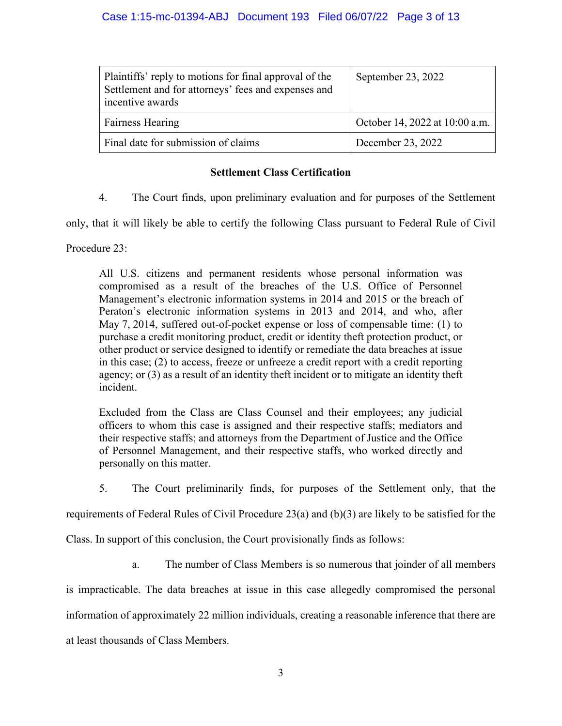# Case 1:15-mc-01394-ABJ Document 193 Filed 06/07/22 Page 3 of 13

| Plaintiffs' reply to motions for final approval of the<br>Settlement and for attorneys' fees and expenses and<br>incentive awards | September 23, 2022             |
|-----------------------------------------------------------------------------------------------------------------------------------|--------------------------------|
| <b>Fairness Hearing</b>                                                                                                           | October 14, 2022 at 10:00 a.m. |
| Final date for submission of claims                                                                                               | December 23, 2022              |

## **Settlement Class Certification**

4. The Court finds, upon preliminary evaluation and for purposes of the Settlement

only, that it will likely be able to certify the following Class pursuant to Federal Rule of Civil

Procedure 23:

All U.S. citizens and permanent residents whose personal information was compromised as a result of the breaches of the U.S. Office of Personnel Management's electronic information systems in 2014 and 2015 or the breach of Peraton's electronic information systems in 2013 and 2014, and who, after May 7, 2014, suffered out-of-pocket expense or loss of compensable time: (1) to purchase a credit monitoring product, credit or identity theft protection product, or other product or service designed to identify or remediate the data breaches at issue in this case; (2) to access, freeze or unfreeze a credit report with a credit reporting agency; or (3) as a result of an identity theft incident or to mitigate an identity theft incident.

Excluded from the Class are Class Counsel and their employees; any judicial officers to whom this case is assigned and their respective staffs; mediators and their respective staffs; and attorneys from the Department of Justice and the Office of Personnel Management, and their respective staffs, who worked directly and personally on this matter.

5. The Court preliminarily finds, for purposes of the Settlement only, that the

requirements of Federal Rules of Civil Procedure 23(a) and (b)(3) are likely to be satisfied for the

Class. In support of this conclusion, the Court provisionally finds as follows:

a. The number of Class Members is so numerous that joinder of all members

is impracticable. The data breaches at issue in this case allegedly compromised the personal information of approximately 22 million individuals, creating a reasonable inference that there are at least thousands of Class Members.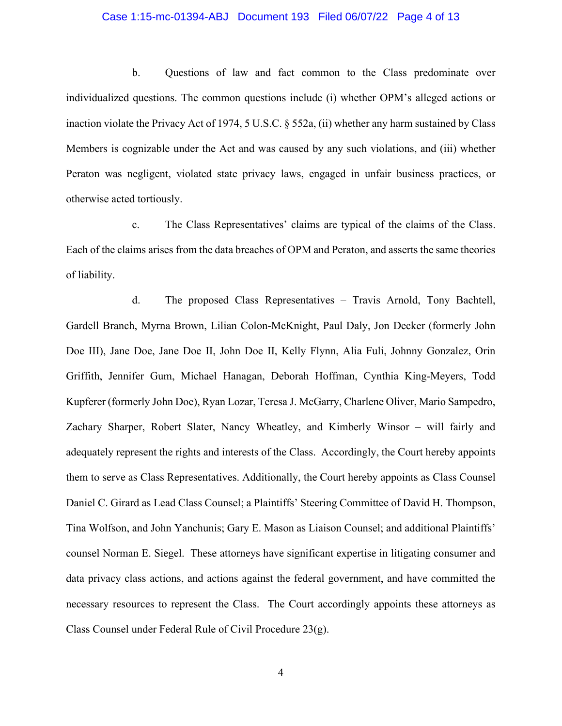### Case 1:15-mc-01394-ABJ Document 193 Filed 06/07/22 Page 4 of 13

b. Questions of law and fact common to the Class predominate over individualized questions. The common questions include (i) whether OPM's alleged actions or inaction violate the Privacy Act of 1974, 5 U.S.C. § 552a, (ii) whether any harm sustained by Class Members is cognizable under the Act and was caused by any such violations, and (iii) whether Peraton was negligent, violated state privacy laws, engaged in unfair business practices, or otherwise acted tortiously.

c. The Class Representatives' claims are typical of the claims of the Class. Each of the claims arises from the data breaches of OPM and Peraton, and asserts the same theories of liability.

d. The proposed Class Representatives – Travis Arnold, Tony Bachtell, Gardell Branch, Myrna Brown, Lilian Colon-McKnight, Paul Daly, Jon Decker (formerly John Doe III), Jane Doe, Jane Doe II, John Doe II, Kelly Flynn, Alia Fuli, Johnny Gonzalez, Orin Griffith, Jennifer Gum, Michael Hanagan, Deborah Hoffman, Cynthia King-Meyers, Todd Kupferer (formerly John Doe), Ryan Lozar, Teresa J. McGarry, Charlene Oliver, Mario Sampedro, Zachary Sharper, Robert Slater, Nancy Wheatley, and Kimberly Winsor – will fairly and adequately represent the rights and interests of the Class. Accordingly, the Court hereby appoints them to serve as Class Representatives. Additionally, the Court hereby appoints as Class Counsel Daniel C. Girard as Lead Class Counsel; a Plaintiffs' Steering Committee of David H. Thompson, Tina Wolfson, and John Yanchunis; Gary E. Mason as Liaison Counsel; and additional Plaintiffs' counsel Norman E. Siegel. These attorneys have significant expertise in litigating consumer and data privacy class actions, and actions against the federal government, and have committed the necessary resources to represent the Class. The Court accordingly appoints these attorneys as Class Counsel under Federal Rule of Civil Procedure 23(g).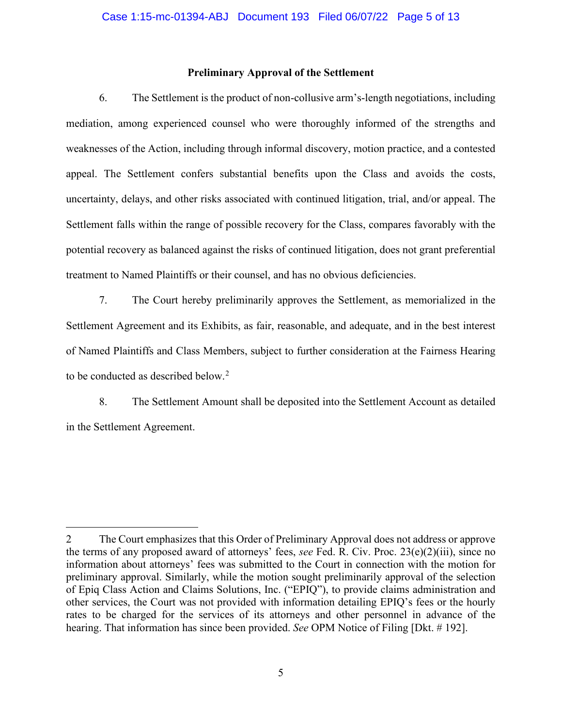### **Preliminary Approval of the Settlement**

6. The Settlement is the product of non-collusive arm's-length negotiations, including mediation, among experienced counsel who were thoroughly informed of the strengths and weaknesses of the Action, including through informal discovery, motion practice, and a contested appeal. The Settlement confers substantial benefits upon the Class and avoids the costs, uncertainty, delays, and other risks associated with continued litigation, trial, and/or appeal. The Settlement falls within the range of possible recovery for the Class, compares favorably with the potential recovery as balanced against the risks of continued litigation, does not grant preferential treatment to Named Plaintiffs or their counsel, and has no obvious deficiencies.

7. The Court hereby preliminarily approves the Settlement, as memorialized in the Settlement Agreement and its Exhibits, as fair, reasonable, and adequate, and in the best interest of Named Plaintiffs and Class Members, subject to further consideration at the Fairness Hearing to be conducted as described below.<sup>[2](#page-4-0)</sup>

8. The Settlement Amount shall be deposited into the Settlement Account as detailed in the Settlement Agreement.

<span id="page-4-0"></span><sup>2</sup> The Court emphasizes that this Order of Preliminary Approval does not address or approve the terms of any proposed award of attorneys' fees, *see* Fed. R. Civ. Proc. 23(e)(2)(iii), since no information about attorneys' fees was submitted to the Court in connection with the motion for preliminary approval. Similarly, while the motion sought preliminarily approval of the selection of Epiq Class Action and Claims Solutions, Inc. ("EPIQ"), to provide claims administration and other services, the Court was not provided with information detailing EPIQ's fees or the hourly rates to be charged for the services of its attorneys and other personnel in advance of the hearing. That information has since been provided. *See* OPM Notice of Filing [Dkt. # 192].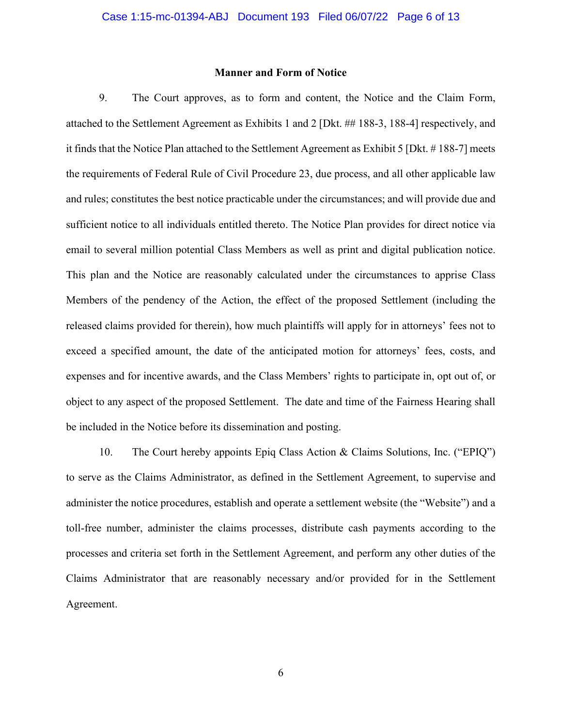#### **Manner and Form of Notice**

9. The Court approves, as to form and content, the Notice and the Claim Form, attached to the Settlement Agreement as Exhibits 1 and 2 [Dkt. ## 188-3, 188-4] respectively, and it finds that the Notice Plan attached to the Settlement Agreement as Exhibit 5 [Dkt. # 188-7] meets the requirements of Federal Rule of Civil Procedure 23, due process, and all other applicable law and rules; constitutes the best notice practicable under the circumstances; and will provide due and sufficient notice to all individuals entitled thereto. The Notice Plan provides for direct notice via email to several million potential Class Members as well as print and digital publication notice. This plan and the Notice are reasonably calculated under the circumstances to apprise Class Members of the pendency of the Action, the effect of the proposed Settlement (including the released claims provided for therein), how much plaintiffs will apply for in attorneys' fees not to exceed a specified amount, the date of the anticipated motion for attorneys' fees, costs, and expenses and for incentive awards, and the Class Members' rights to participate in, opt out of, or object to any aspect of the proposed Settlement. The date and time of the Fairness Hearing shall be included in the Notice before its dissemination and posting.

10. The Court hereby appoints Epiq Class Action & Claims Solutions, Inc. ("EPIQ") to serve as the Claims Administrator, as defined in the Settlement Agreement, to supervise and administer the notice procedures, establish and operate a settlement website (the "Website") and a toll-free number, administer the claims processes, distribute cash payments according to the processes and criteria set forth in the Settlement Agreement, and perform any other duties of the Claims Administrator that are reasonably necessary and/or provided for in the Settlement Agreement.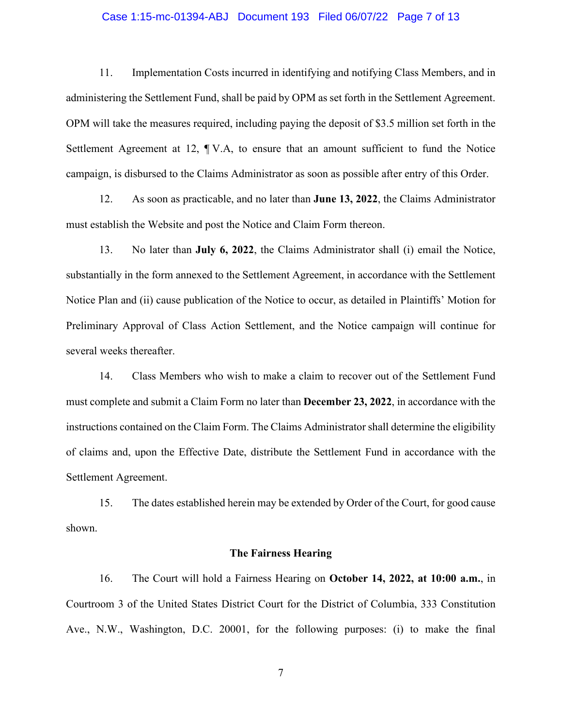### Case 1:15-mc-01394-ABJ Document 193 Filed 06/07/22 Page 7 of 13

11. Implementation Costs incurred in identifying and notifying Class Members, and in administering the Settlement Fund, shall be paid by OPM as set forth in the Settlement Agreement. OPM will take the measures required, including paying the deposit of \$3.5 million set forth in the Settlement Agreement at 12, ¶ V.A, to ensure that an amount sufficient to fund the Notice campaign, is disbursed to the Claims Administrator as soon as possible after entry of this Order.

12. As soon as practicable, and no later than **June 13, 2022**, the Claims Administrator must establish the Website and post the Notice and Claim Form thereon.

13. No later than **July 6, 2022**, the Claims Administrator shall (i) email the Notice, substantially in the form annexed to the Settlement Agreement, in accordance with the Settlement Notice Plan and (ii) cause publication of the Notice to occur, as detailed in Plaintiffs' Motion for Preliminary Approval of Class Action Settlement, and the Notice campaign will continue for several weeks thereafter.

14. Class Members who wish to make a claim to recover out of the Settlement Fund must complete and submit a Claim Form no later than **December 23, 2022**, in accordance with the instructions contained on the Claim Form. The Claims Administrator shall determine the eligibility of claims and, upon the Effective Date, distribute the Settlement Fund in accordance with the Settlement Agreement.

15. The dates established herein may be extended by Order of the Court, for good cause shown.

#### **The Fairness Hearing**

16. The Court will hold a Fairness Hearing on **October 14, 2022, at 10:00 a.m.**, in Courtroom 3 of the United States District Court for the District of Columbia, 333 Constitution Ave., N.W., Washington, D.C. 20001, for the following purposes: (i) to make the final

7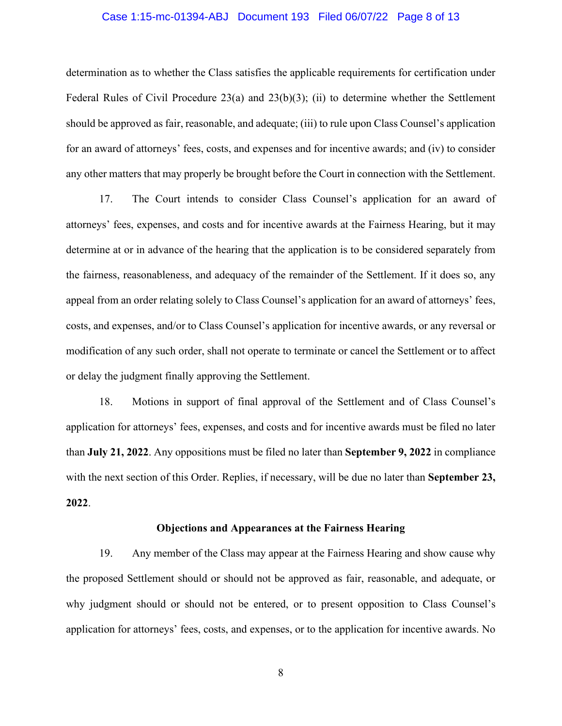#### Case 1:15-mc-01394-ABJ Document 193 Filed 06/07/22 Page 8 of 13

determination as to whether the Class satisfies the applicable requirements for certification under Federal Rules of Civil Procedure 23(a) and 23(b)(3); (ii) to determine whether the Settlement should be approved as fair, reasonable, and adequate; (iii) to rule upon Class Counsel's application for an award of attorneys' fees, costs, and expenses and for incentive awards; and (iv) to consider any other matters that may properly be brought before the Court in connection with the Settlement.

17. The Court intends to consider Class Counsel's application for an award of attorneys' fees, expenses, and costs and for incentive awards at the Fairness Hearing, but it may determine at or in advance of the hearing that the application is to be considered separately from the fairness, reasonableness, and adequacy of the remainder of the Settlement. If it does so, any appeal from an order relating solely to Class Counsel's application for an award of attorneys' fees, costs, and expenses, and/or to Class Counsel's application for incentive awards, or any reversal or modification of any such order, shall not operate to terminate or cancel the Settlement or to affect or delay the judgment finally approving the Settlement.

18. Motions in support of final approval of the Settlement and of Class Counsel's application for attorneys' fees, expenses, and costs and for incentive awards must be filed no later than **July 21, 2022**. Any oppositions must be filed no later than **September 9, 2022** in compliance with the next section of this Order. Replies, if necessary, will be due no later than **September 23, 2022**.

#### **Objections and Appearances at the Fairness Hearing**

19. Any member of the Class may appear at the Fairness Hearing and show cause why the proposed Settlement should or should not be approved as fair, reasonable, and adequate, or why judgment should or should not be entered, or to present opposition to Class Counsel's application for attorneys' fees, costs, and expenses, or to the application for incentive awards. No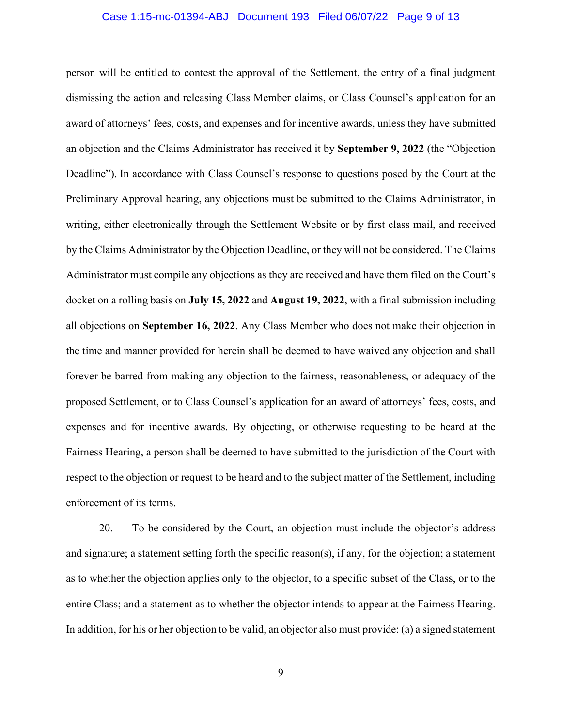#### Case 1:15-mc-01394-ABJ Document 193 Filed 06/07/22 Page 9 of 13

person will be entitled to contest the approval of the Settlement, the entry of a final judgment dismissing the action and releasing Class Member claims, or Class Counsel's application for an award of attorneys' fees, costs, and expenses and for incentive awards, unless they have submitted an objection and the Claims Administrator has received it by **September 9, 2022** (the "Objection Deadline"). In accordance with Class Counsel's response to questions posed by the Court at the Preliminary Approval hearing, any objections must be submitted to the Claims Administrator, in writing, either electronically through the Settlement Website or by first class mail, and received by the Claims Administrator by the Objection Deadline, or they will not be considered. The Claims Administrator must compile any objections as they are received and have them filed on the Court's docket on a rolling basis on **July 15, 2022** and **August 19, 2022**, with a final submission including all objections on **September 16, 2022**. Any Class Member who does not make their objection in the time and manner provided for herein shall be deemed to have waived any objection and shall forever be barred from making any objection to the fairness, reasonableness, or adequacy of the proposed Settlement, or to Class Counsel's application for an award of attorneys' fees, costs, and expenses and for incentive awards. By objecting, or otherwise requesting to be heard at the Fairness Hearing, a person shall be deemed to have submitted to the jurisdiction of the Court with respect to the objection or request to be heard and to the subject matter of the Settlement, including enforcement of its terms.

20. To be considered by the Court, an objection must include the objector's address and signature; a statement setting forth the specific reason(s), if any, for the objection; a statement as to whether the objection applies only to the objector, to a specific subset of the Class, or to the entire Class; and a statement as to whether the objector intends to appear at the Fairness Hearing. In addition, for his or her objection to be valid, an objector also must provide: (a) a signed statement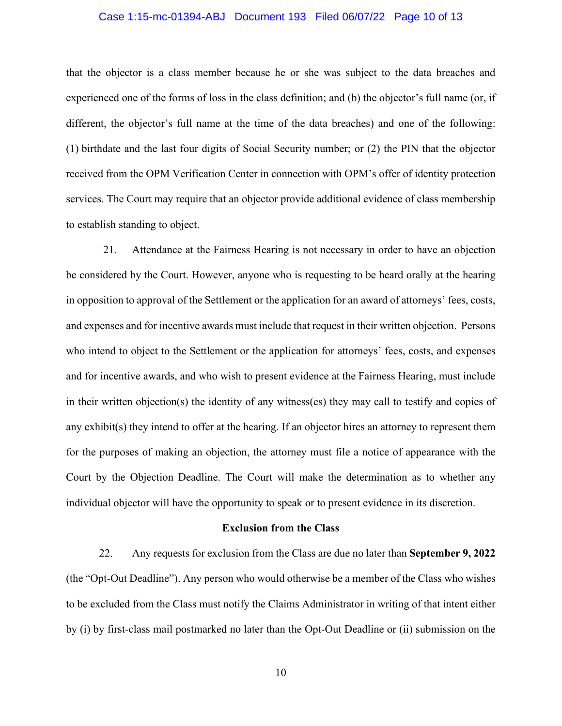#### Case 1:15-mc-01394-ABJ Document 193 Filed 06/07/22 Page 10 of 13

that the objector is a class member because he or she was subject to the data breaches and experienced one of the forms of loss in the class definition; and (b) the objector's full name (or, if different, the objector's full name at the time of the data breaches) and one of the following: (1) birthdate and the last four digits of Social Security number; or (2) the PIN that the objector received from the OPM Verification Center in connection with OPM's offer of identity protection services. The Court may require that an objector provide additional evidence of class membership to establish standing to object.

21. Attendance at the Fairness Hearing is not necessary in order to have an objection be considered by the Court. However, anyone who is requesting to be heard orally at the hearing in opposition to approval of the Settlement or the application for an award of attorneys' fees, costs, and expenses and for incentive awards must include that request in their written objection. Persons who intend to object to the Settlement or the application for attorneys' fees, costs, and expenses and for incentive awards, and who wish to present evidence at the Fairness Hearing, must include in their written objection(s) the identity of any witness(es) they may call to testify and copies of any exhibit(s) they intend to offer at the hearing. If an objector hires an attorney to represent them for the purposes of making an objection, the attorney must file a notice of appearance with the Court by the Objection Deadline. The Court will make the determination as to whether any individual objector will have the opportunity to speak or to present evidence in its discretion.

#### **Exclusion from the Class**

22. Any requests for exclusion from the Class are due no later than **September 9, 2022** (the "Opt-Out Deadline"). Any person who would otherwise be a member of the Class who wishes to be excluded from the Class must notify the Claims Administrator in writing of that intent either by (i) by first-class mail postmarked no later than the Opt-Out Deadline or (ii) submission on the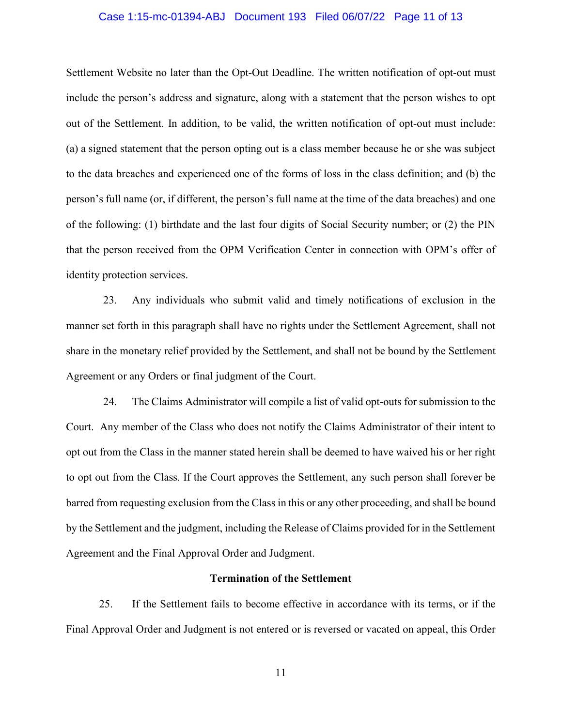#### Case 1:15-mc-01394-ABJ Document 193 Filed 06/07/22 Page 11 of 13

Settlement Website no later than the Opt-Out Deadline. The written notification of opt-out must include the person's address and signature, along with a statement that the person wishes to opt out of the Settlement. In addition, to be valid, the written notification of opt-out must include: (a) a signed statement that the person opting out is a class member because he or she was subject to the data breaches and experienced one of the forms of loss in the class definition; and (b) the person's full name (or, if different, the person's full name at the time of the data breaches) and one of the following: (1) birthdate and the last four digits of Social Security number; or (2) the PIN that the person received from the OPM Verification Center in connection with OPM's offer of identity protection services.

23. Any individuals who submit valid and timely notifications of exclusion in the manner set forth in this paragraph shall have no rights under the Settlement Agreement, shall not share in the monetary relief provided by the Settlement, and shall not be bound by the Settlement Agreement or any Orders or final judgment of the Court.

24. The Claims Administrator will compile a list of valid opt-outs for submission to the Court. Any member of the Class who does not notify the Claims Administrator of their intent to opt out from the Class in the manner stated herein shall be deemed to have waived his or her right to opt out from the Class. If the Court approves the Settlement, any such person shall forever be barred from requesting exclusion from the Class in this or any other proceeding, and shall be bound by the Settlement and the judgment, including the Release of Claims provided for in the Settlement Agreement and the Final Approval Order and Judgment.

#### **Termination of the Settlement**

25. If the Settlement fails to become effective in accordance with its terms, or if the Final Approval Order and Judgment is not entered or is reversed or vacated on appeal, this Order

11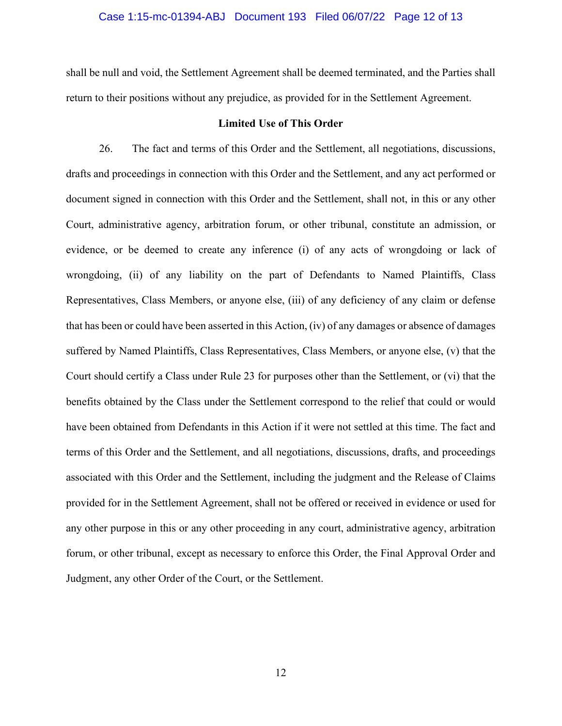#### Case 1:15-mc-01394-ABJ Document 193 Filed 06/07/22 Page 12 of 13

shall be null and void, the Settlement Agreement shall be deemed terminated, and the Parties shall return to their positions without any prejudice, as provided for in the Settlement Agreement.

#### **Limited Use of This Order**

26. The fact and terms of this Order and the Settlement, all negotiations, discussions, drafts and proceedings in connection with this Order and the Settlement, and any act performed or document signed in connection with this Order and the Settlement, shall not, in this or any other Court, administrative agency, arbitration forum, or other tribunal, constitute an admission, or evidence, or be deemed to create any inference (i) of any acts of wrongdoing or lack of wrongdoing, (ii) of any liability on the part of Defendants to Named Plaintiffs, Class Representatives, Class Members, or anyone else, (iii) of any deficiency of any claim or defense that has been or could have been asserted in this Action, (iv) of any damages or absence of damages suffered by Named Plaintiffs, Class Representatives, Class Members, or anyone else, (v) that the Court should certify a Class under Rule 23 for purposes other than the Settlement, or (vi) that the benefits obtained by the Class under the Settlement correspond to the relief that could or would have been obtained from Defendants in this Action if it were not settled at this time. The fact and terms of this Order and the Settlement, and all negotiations, discussions, drafts, and proceedings associated with this Order and the Settlement, including the judgment and the Release of Claims provided for in the Settlement Agreement, shall not be offered or received in evidence or used for any other purpose in this or any other proceeding in any court, administrative agency, arbitration forum, or other tribunal, except as necessary to enforce this Order, the Final Approval Order and Judgment, any other Order of the Court, or the Settlement.